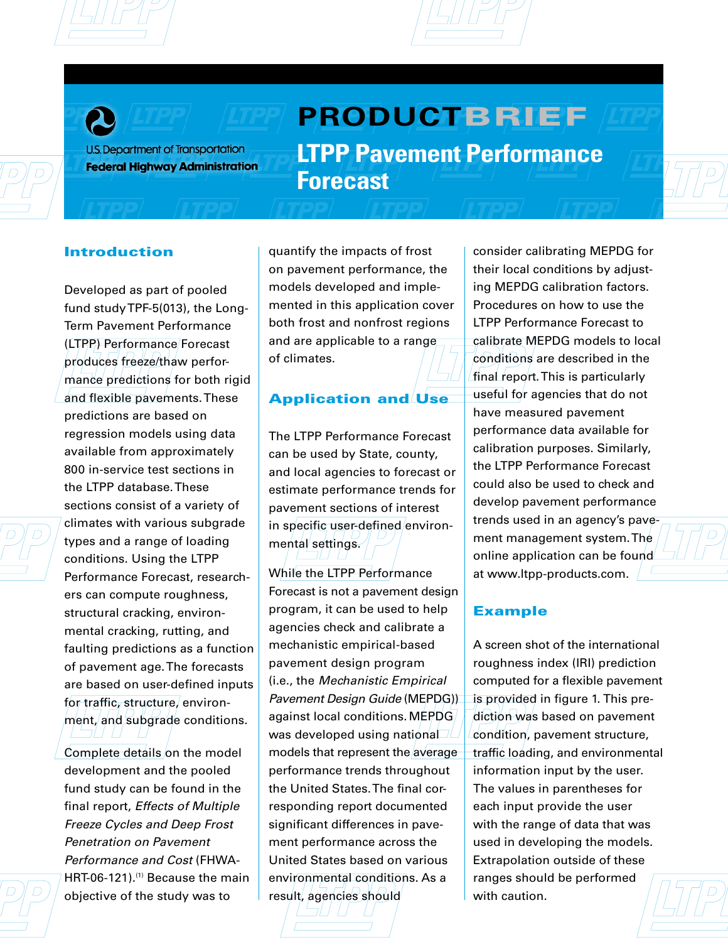





U.S. Department of Transportation **Federal Highway Administration** 

**PRODUCT**BRIEF **LTPP Pavement Performance Forecast**

# Introduction

Developed as part of pooled fund study TPF-5(013), the Long-Term Pavement Performance (LTPP) Performance Forecast produces freeze/thaw performance predictions for both rigid and flexible pavements. These predictions are based on regression models using data available from approximately 800 in-service test sections in the LTPP database. These sections consist of a variety of climates with various subgrade types and a range of loading conditions. Using the LTPP Performance Forecast, researchers can compute roughness, structural cracking, environmental cracking, rutting, and faulting predictions as a function of pavement age. The forecasts are based on user-defined inputs for traffic, structure, environment, and subgrade conditions.

Complete details on the model development and the pooled fund study can be found in the final report, *Effects of Multiple Freeze Cycles and Deep Frost Penetration on Pavement Performance and Cost* (FHWA- $HRT-06-121$ .<sup>(1)</sup> Because the main objective of the study was to

quantify the impacts of frost on pavement performance, the models developed and implemented in this application cover both frost and nonfrost regions and are applicable to a range of climates.

# **Application and Use**

The LTPP Performance Forecast can be used by State, county, and local agencies to forecast or estimate performance trends for pavement sections of interest in specific user-defined/environmental settings.

While the LTPP Performance Forecast is not a pavement design program, it can be used to help agencies check and calibrate a mechanistic empirical-based pavement design program (i.e., the *Mechanistic Empirical Pavement Design Guide* (MEPDG)) against local conditions.MEPDG was developed using national  $\Box\Box$ models that represent the average performance trends throughout the United States. The final corresponding report documented significant differences in pavement performance across the United States based on various environmental conditions. As a result, agencies should

consider calibrating MEPDG for their local conditions by adjusting MEPDG calibration factors. Procedures on how to use the LTPP Performance Forecast to calibrate MEPDG models to local conditions are described in the final report. This is particularly useful for agencies that do not have measured pavement performance data available for calibration purposes. Similarly, the LTPP Performance Forecast could also be used to check and develop pavement performance trends used in an agency's pavement management system. The online application can be found at www.ltpp-products.com.

### Example

A screen shot of the international roughness index (IRI) prediction computed for a flexible pavement is provided in figure 1. This prediction was based on pavement condition, pavement structure, traffic loading, and environmental information input by the user. The values in parentheses for each input provide the user with the range of data that was used in developing the models. Extrapolation outside of these ranges should be performed with caution.